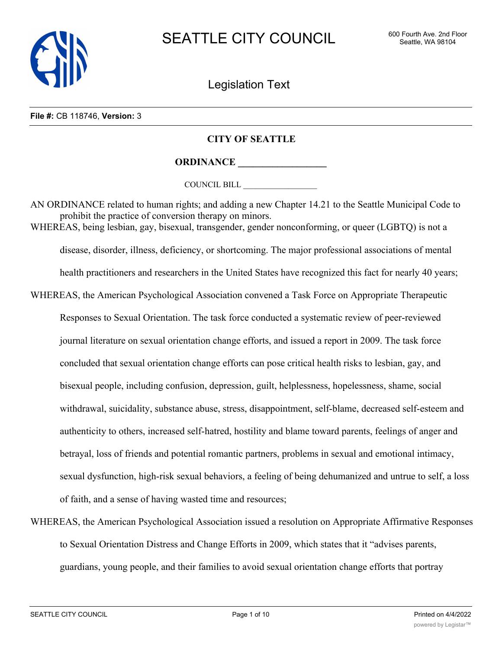

Legislation Text

#### **File #:** CB 118746, **Version:** 3

# **CITY OF SEATTLE**

**ORDINANCE \_\_\_\_\_\_\_\_\_\_\_\_\_\_\_\_\_\_**

COUNCIL BILL \_\_\_\_\_\_\_\_\_\_\_\_\_\_\_\_\_\_

AN ORDINANCE related to human rights; and adding a new Chapter 14.21 to the Seattle Municipal Code to prohibit the practice of conversion therapy on minors. WHEREAS, being lesbian, gay, bisexual, transgender, gender nonconforming, or queer (LGBTQ) is not a disease, disorder, illness, deficiency, or shortcoming. The major professional associations of mental health practitioners and researchers in the United States have recognized this fact for nearly 40 years; WHEREAS, the American Psychological Association convened a Task Force on Appropriate Therapeutic Responses to Sexual Orientation. The task force conducted a systematic review of peer-reviewed journal literature on sexual orientation change efforts, and issued a report in 2009. The task force concluded that sexual orientation change efforts can pose critical health risks to lesbian, gay, and bisexual people, including confusion, depression, guilt, helplessness, hopelessness, shame, social withdrawal, suicidality, substance abuse, stress, disappointment, self-blame, decreased self-esteem and authenticity to others, increased self-hatred, hostility and blame toward parents, feelings of anger and betrayal, loss of friends and potential romantic partners, problems in sexual and emotional intimacy, sexual dysfunction, high-risk sexual behaviors, a feeling of being dehumanized and untrue to self, a loss of faith, and a sense of having wasted time and resources;

WHEREAS, the American Psychological Association issued a resolution on Appropriate Affirmative Responses to Sexual Orientation Distress and Change Efforts in 2009, which states that it "advises parents, guardians, young people, and their families to avoid sexual orientation change efforts that portray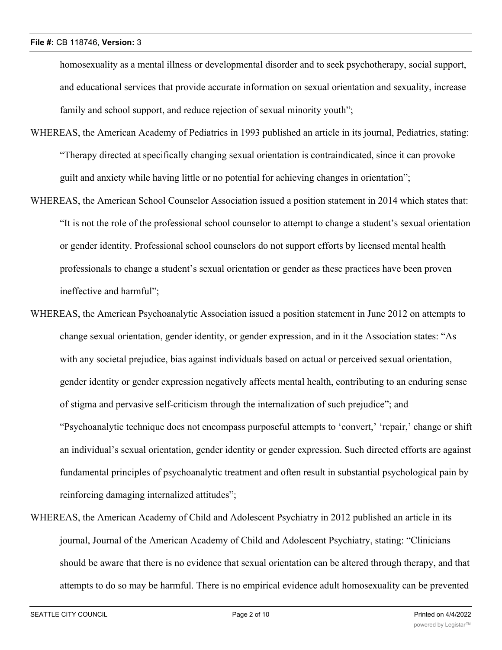homosexuality as a mental illness or developmental disorder and to seek psychotherapy, social support, and educational services that provide accurate information on sexual orientation and sexuality, increase family and school support, and reduce rejection of sexual minority youth";

- WHEREAS, the American Academy of Pediatrics in 1993 published an article in its journal, Pediatrics, stating: "Therapy directed at specifically changing sexual orientation is contraindicated, since it can provoke guilt and anxiety while having little or no potential for achieving changes in orientation";
- WHEREAS, the American School Counselor Association issued a position statement in 2014 which states that: "It is not the role of the professional school counselor to attempt to change a student's sexual orientation or gender identity. Professional school counselors do not support efforts by licensed mental health professionals to change a student's sexual orientation or gender as these practices have been proven ineffective and harmful";
- WHEREAS, the American Psychoanalytic Association issued a position statement in June 2012 on attempts to change sexual orientation, gender identity, or gender expression, and in it the Association states: "As with any societal prejudice, bias against individuals based on actual or perceived sexual orientation, gender identity or gender expression negatively affects mental health, contributing to an enduring sense of stigma and pervasive self-criticism through the internalization of such prejudice"; and "Psychoanalytic technique does not encompass purposeful attempts to 'convert,' 'repair,' change or shift an individual's sexual orientation, gender identity or gender expression. Such directed efforts are against fundamental principles of psychoanalytic treatment and often result in substantial psychological pain by reinforcing damaging internalized attitudes";
- WHEREAS, the American Academy of Child and Adolescent Psychiatry in 2012 published an article in its journal, Journal of the American Academy of Child and Adolescent Psychiatry, stating: "Clinicians should be aware that there is no evidence that sexual orientation can be altered through therapy, and that attempts to do so may be harmful. There is no empirical evidence adult homosexuality can be prevented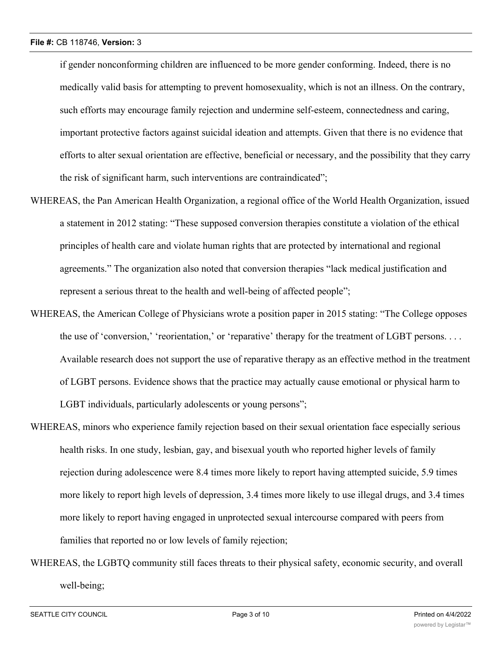if gender nonconforming children are influenced to be more gender conforming. Indeed, there is no medically valid basis for attempting to prevent homosexuality, which is not an illness. On the contrary, such efforts may encourage family rejection and undermine self-esteem, connectedness and caring, important protective factors against suicidal ideation and attempts. Given that there is no evidence that efforts to alter sexual orientation are effective, beneficial or necessary, and the possibility that they carry the risk of significant harm, such interventions are contraindicated";

- WHEREAS, the Pan American Health Organization, a regional office of the World Health Organization, issued a statement in 2012 stating: "These supposed conversion therapies constitute a violation of the ethical principles of health care and violate human rights that are protected by international and regional agreements." The organization also noted that conversion therapies "lack medical justification and represent a serious threat to the health and well-being of affected people";
- WHEREAS, the American College of Physicians wrote a position paper in 2015 stating: "The College opposes the use of 'conversion,' 'reorientation,' or 'reparative' therapy for the treatment of LGBT persons. . . . Available research does not support the use of reparative therapy as an effective method in the treatment of LGBT persons. Evidence shows that the practice may actually cause emotional or physical harm to LGBT individuals, particularly adolescents or young persons";
- WHEREAS, minors who experience family rejection based on their sexual orientation face especially serious health risks. In one study, lesbian, gay, and bisexual youth who reported higher levels of family rejection during adolescence were 8.4 times more likely to report having attempted suicide, 5.9 times more likely to report high levels of depression, 3.4 times more likely to use illegal drugs, and 3.4 times more likely to report having engaged in unprotected sexual intercourse compared with peers from families that reported no or low levels of family rejection;
- WHEREAS, the LGBTQ community still faces threats to their physical safety, economic security, and overall well-being;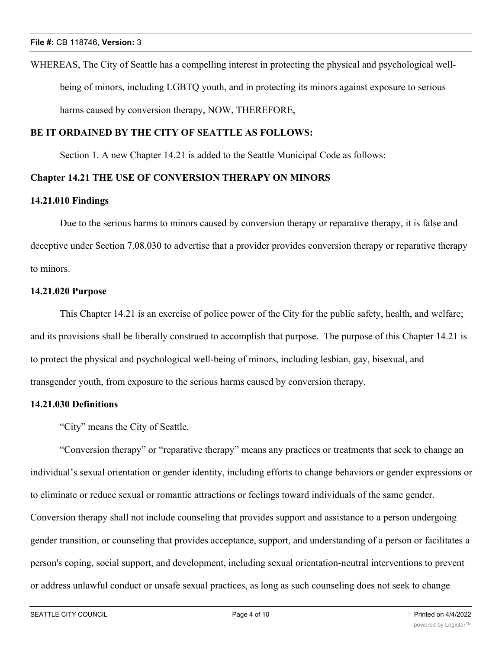WHEREAS, The City of Seattle has a compelling interest in protecting the physical and psychological wellbeing of minors, including LGBTQ youth, and in protecting its minors against exposure to serious harms caused by conversion therapy, NOW, THEREFORE,

# **BE IT ORDAINED BY THE CITY OF SEATTLE AS FOLLOWS:**

Section 1. A new Chapter 14.21 is added to the Seattle Municipal Code as follows:

# **Chapter 14.21 THE USE OF CONVERSION THERAPY ON MINORS**

#### **14.21.010 Findings**

Due to the serious harms to minors caused by conversion therapy or reparative therapy, it is false and deceptive under Section 7.08.030 to advertise that a provider provides conversion therapy or reparative therapy to minors.

### **14.21.020 Purpose**

This Chapter 14.21 is an exercise of police power of the City for the public safety, health, and welfare; and its provisions shall be liberally construed to accomplish that purpose. The purpose of this Chapter 14.21 is to protect the physical and psychological well-being of minors, including lesbian, gay, bisexual, and transgender youth, from exposure to the serious harms caused by conversion therapy.

### **14.21.030 Definitions**

"City" means the City of Seattle.

"Conversion therapy" or "reparative therapy" means any practices or treatments that seek to change an individual's sexual orientation or gender identity, including efforts to change behaviors or gender expressions or to eliminate or reduce sexual or romantic attractions or feelings toward individuals of the same gender. Conversion therapy shall not include counseling that provides support and assistance to a person undergoing gender transition, or counseling that provides acceptance, support, and understanding of a person or facilitates a person's coping, social support, and development, including sexual orientation-neutral interventions to prevent or address unlawful conduct or unsafe sexual practices, as long as such counseling does not seek to change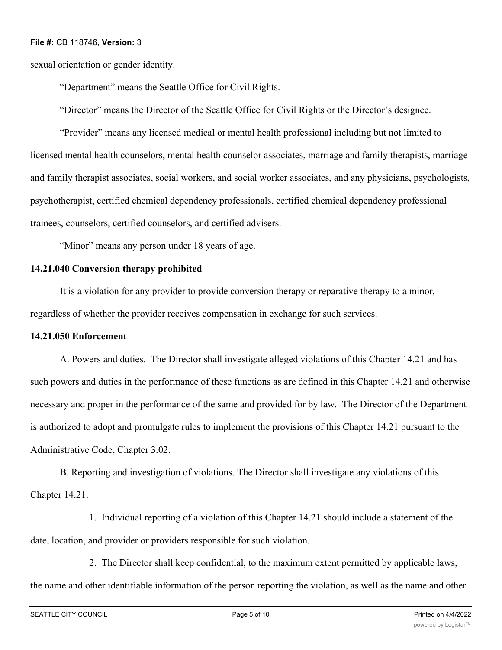#### **File #:** CB 118746, **Version:** 3

sexual orientation or gender identity.

"Department" means the Seattle Office for Civil Rights.

"Director" means the Director of the Seattle Office for Civil Rights or the Director's designee.

"Provider" means any licensed medical or mental health professional including but not limited to licensed mental health counselors, mental health counselor associates, marriage and family therapists, marriage and family therapist associates, social workers, and social worker associates, and any physicians, psychologists, psychotherapist, certified chemical dependency professionals, certified chemical dependency professional trainees, counselors, certified counselors, and certified advisers.

"Minor" means any person under 18 years of age.

## **14.21.040 Conversion therapy prohibited**

It is a violation for any provider to provide conversion therapy or reparative therapy to a minor, regardless of whether the provider receives compensation in exchange for such services.

### **14.21.050 Enforcement**

A. Powers and duties. The Director shall investigate alleged violations of this Chapter 14.21 and has such powers and duties in the performance of these functions as are defined in this Chapter 14.21 and otherwise necessary and proper in the performance of the same and provided for by law. The Director of the Department is authorized to adopt and promulgate rules to implement the provisions of this Chapter 14.21 pursuant to the Administrative Code, Chapter 3.02.

B. Reporting and investigation of violations. The Director shall investigate any violations of this Chapter 14.21.

1. Individual reporting of a violation of this Chapter 14.21 should include a statement of the date, location, and provider or providers responsible for such violation.

2. The Director shall keep confidential, to the maximum extent permitted by applicable laws, the name and other identifiable information of the person reporting the violation, as well as the name and other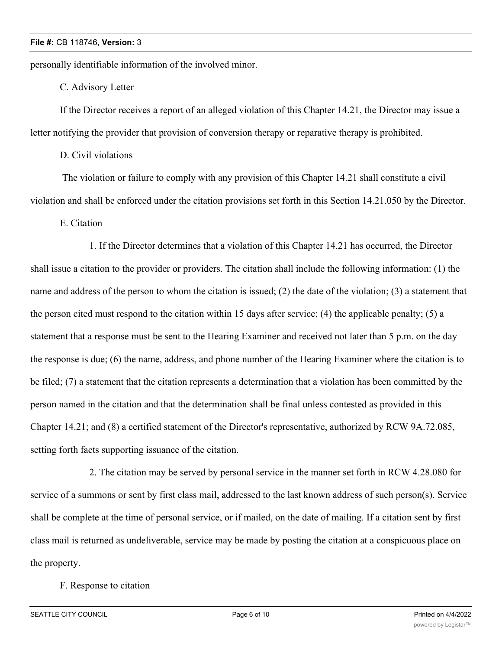personally identifiable information of the involved minor.

C. Advisory Letter

If the Director receives a report of an alleged violation of this Chapter 14.21, the Director may issue a letter notifying the provider that provision of conversion therapy or reparative therapy is prohibited.

D. Civil violations

 The violation or failure to comply with any provision of this Chapter 14.21 shall constitute a civil violation and shall be enforced under the citation provisions set forth in this Section 14.21.050 by the Director.

E. Citation

1. If the Director determines that a violation of this Chapter 14.21 has occurred, the Director shall issue a citation to the provider or providers. The citation shall include the following information: (1) the name and address of the person to whom the citation is issued; (2) the date of the violation; (3) a statement that the person cited must respond to the citation within 15 days after service; (4) the applicable penalty; (5) a statement that a response must be sent to the Hearing Examiner and received not later than 5 p.m. on the day the response is due; (6) the name, address, and phone number of the Hearing Examiner where the citation is to be filed; (7) a statement that the citation represents a determination that a violation has been committed by the person named in the citation and that the determination shall be final unless contested as provided in this Chapter 14.21; and (8) a certified statement of the Director's representative, authorized by RCW 9A.72.085, setting forth facts supporting issuance of the citation.

2. The citation may be served by personal service in the manner set forth in RCW 4.28.080 for service of a summons or sent by first class mail, addressed to the last known address of such person(s). Service shall be complete at the time of personal service, or if mailed, on the date of mailing. If a citation sent by first class mail is returned as undeliverable, service may be made by posting the citation at a conspicuous place on the property.

F. Response to citation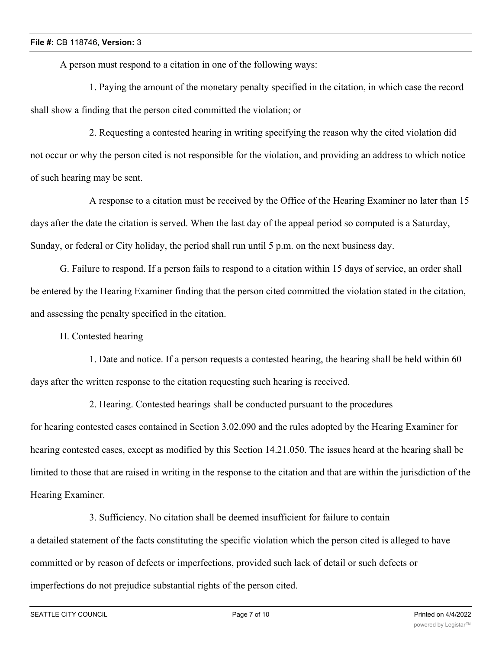A person must respond to a citation in one of the following ways:

1. Paying the amount of the monetary penalty specified in the citation, in which case the record shall show a finding that the person cited committed the violation; or

2. Requesting a contested hearing in writing specifying the reason why the cited violation did not occur or why the person cited is not responsible for the violation, and providing an address to which notice of such hearing may be sent.

A response to a citation must be received by the Office of the Hearing Examiner no later than 15 days after the date the citation is served. When the last day of the appeal period so computed is a Saturday, Sunday, or federal or City holiday, the period shall run until 5 p.m. on the next business day.

G. Failure to respond. If a person fails to respond to a citation within 15 days of service, an order shall be entered by the Hearing Examiner finding that the person cited committed the violation stated in the citation, and assessing the penalty specified in the citation.

H. Contested hearing

1. Date and notice. If a person requests a contested hearing, the hearing shall be held within 60 days after the written response to the citation requesting such hearing is received.

2. Hearing. Contested hearings shall be conducted pursuant to the procedures for hearing contested cases contained in Section 3.02.090 and the rules adopted by the Hearing Examiner for hearing contested cases, except as modified by this Section 14.21.050. The issues heard at the hearing shall be limited to those that are raised in writing in the response to the citation and that are within the jurisdiction of the Hearing Examiner.

3. Sufficiency. No citation shall be deemed insufficient for failure to contain a detailed statement of the facts constituting the specific violation which the person cited is alleged to have committed or by reason of defects or imperfections, provided such lack of detail or such defects or imperfections do not prejudice substantial rights of the person cited.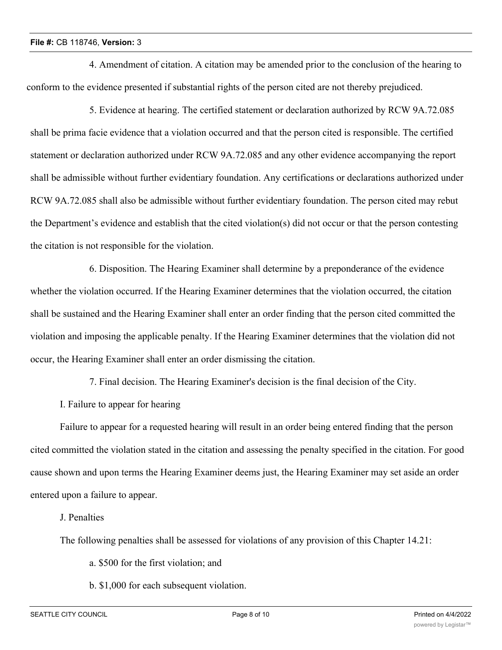### **File #:** CB 118746, **Version:** 3

4. Amendment of citation. A citation may be amended prior to the conclusion of the hearing to conform to the evidence presented if substantial rights of the person cited are not thereby prejudiced.

5. Evidence at hearing. The certified statement or declaration authorized by RCW 9A.72.085 shall be prima facie evidence that a violation occurred and that the person cited is responsible. The certified statement or declaration authorized under RCW 9A.72.085 and any other evidence accompanying the report shall be admissible without further evidentiary foundation. Any certifications or declarations authorized under RCW 9A.72.085 shall also be admissible without further evidentiary foundation. The person cited may rebut the Department's evidence and establish that the cited violation(s) did not occur or that the person contesting the citation is not responsible for the violation.

6. Disposition. The Hearing Examiner shall determine by a preponderance of the evidence whether the violation occurred. If the Hearing Examiner determines that the violation occurred, the citation shall be sustained and the Hearing Examiner shall enter an order finding that the person cited committed the violation and imposing the applicable penalty. If the Hearing Examiner determines that the violation did not occur, the Hearing Examiner shall enter an order dismissing the citation.

7. Final decision. The Hearing Examiner's decision is the final decision of the City.

I. Failure to appear for hearing

Failure to appear for a requested hearing will result in an order being entered finding that the person cited committed the violation stated in the citation and assessing the penalty specified in the citation. For good cause shown and upon terms the Hearing Examiner deems just, the Hearing Examiner may set aside an order entered upon a failure to appear.

J. Penalties

The following penalties shall be assessed for violations of any provision of this Chapter 14.21:

a. \$500 for the first violation; and

b. \$1,000 for each subsequent violation.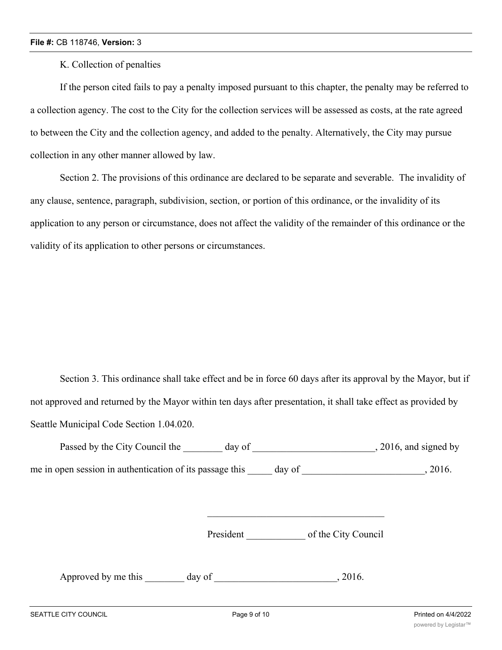K. Collection of penalties

If the person cited fails to pay a penalty imposed pursuant to this chapter, the penalty may be referred to a collection agency. The cost to the City for the collection services will be assessed as costs, at the rate agreed to between the City and the collection agency, and added to the penalty. Alternatively, the City may pursue collection in any other manner allowed by law.

Section 2. The provisions of this ordinance are declared to be separate and severable. The invalidity of any clause, sentence, paragraph, subdivision, section, or portion of this ordinance, or the invalidity of its application to any person or circumstance, does not affect the validity of the remainder of this ordinance or the validity of its application to other persons or circumstances.

Section 3. This ordinance shall take effect and be in force 60 days after its approval by the Mayor, but if not approved and returned by the Mayor within ten days after presentation, it shall take effect as provided by Seattle Municipal Code Section 1.04.020.

| Passed by the City Council the<br>day of                 |        | , 2016, and signed by |
|----------------------------------------------------------|--------|-----------------------|
| me in open session in authentication of its passage this | day of | 2016.                 |

President \_\_\_\_\_\_\_\_\_\_\_\_ of the City Council

Approved by me this day of the same control of the same control of the same control of the Approved by me this